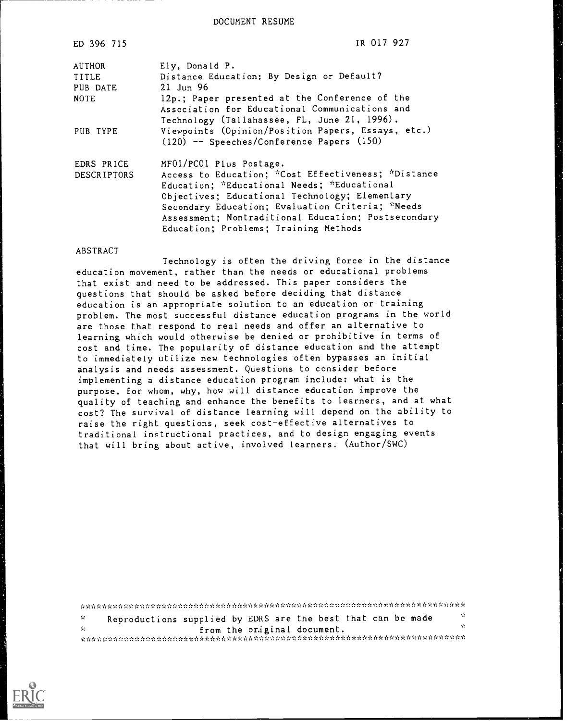DOCUMENT RESUME

| ED 396 715  | IR 017 927                                          |
|-------------|-----------------------------------------------------|
| AUTHOR      | Ely, Donald P.                                      |
| TITLE       | Distance Education: By Design or Default?           |
| PUB DATE    | $21$ Jun 96                                         |
| <b>NOTE</b> | 12p.; Paper presented at the Conference of the      |
|             | Association for Educational Communications and      |
|             | Technology (Tallahassee, FL, June 21, 1996).        |
| PUB TYPE    | Viewpoints (Opinion/Position Papers, Essays, etc.)  |
|             | (120) -- Speeches/Conference Papers (150)           |
| EDRS PRICE  | MF01/PC01 Plus Postage.                             |
| DESCRIPTORS | Access to Education; *Cost Effectiveness; *Distance |
|             | Education; *Educational Needs; *Educational         |
|             | Objectives; Educational Technology; Elementary      |
|             | Secondary Education; Evaluation Criteria; *Needs    |
|             | Assessment; Nontraditional Education; Postsecondary |
|             | Education; Problems; Training Methods               |

#### ABSTRACT

Technology is often the driving force in the distance education movement, rather than the needs or educational problems that exist and need to be addressed. This paper considers the questions that should be asked before deciding that distance education is an appropriate solution to an education or training problem. The most successful distance education programs in the world are those that respond to real needs and offer an alternative to learning which would otherwise be denied or prohibitive in terms of cost and time. The popularity of distance education and the attempt to immediately utilize new technologies often bypasses an initial analysis and needs assessment. Questions to consider before implementing a distance education program include: what is the purpose, for whom, why, how will distance education improve the quality of teaching and enhance the benefits to learners, and at what cost? The survival of distance learning will depend on the ability to raise the right questions, seek cost-effective alternatives to traditional instructional practices, and to design engaging events that will bring about active, involved learners. (Author/SWC)

| <b>STEP</b> | Reproductions supplied by EDRS are the best that can be made | - 20 |
|-------------|--------------------------------------------------------------|------|
| - Se        | from the original document.                                  |      |
|             |                                                              |      |

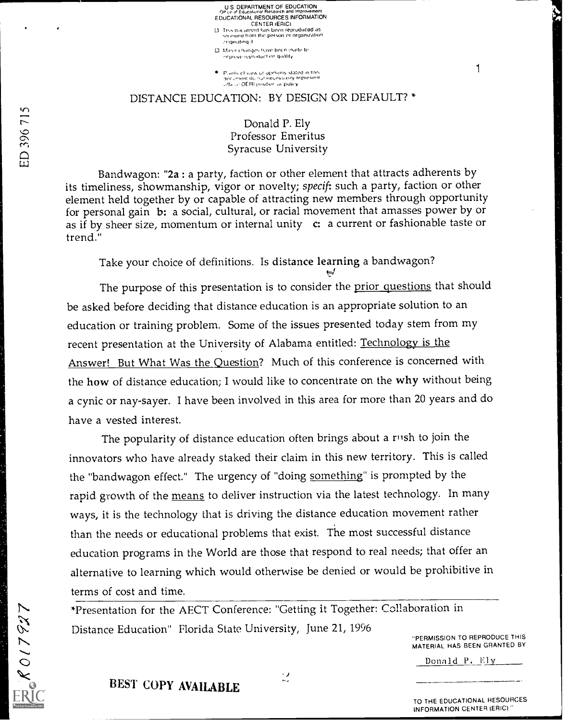Office of Educational Research and Improvement<br>EDUCATIONAL RESOURCES INFORMATION CENTER (ERIC)<br>This ducament bas been reptuduced as<br>econog from the person or organization O Maror Changes have been inade to improve reproduction quality

U S. DEPARTMENT OF EDUCATION

e. Plants cfiviaw of opmons stated in this official QERI position or pulicy

### DISTANCE EDUCATION: BY DESIGN OR DEFAULT? \*

Donald P. Ely C Professor Emeritus<br>
C Professor Emeritus<br>
C Professor Emeritus<br>
C Professor Emeritus<br>
C Professor Emeritus Syracuse University

> Bandwagon: "2a : a party, faction or other element that attracts adherents by its timeliness, showmanship, vigor or novelty; specif: such a party, faction or other element held together by or capable of attracting new members through opportunity for personal gain b: a social, cultural, or racial movement that amasses power by or as if by sheer size, momentum or internal unity c: a current or fashionable taste or trend."

Take your choice of definitions. Is distance learning a bandwagon?

The purpose of this presentation is to consider the prior questions that should be asked before deciding that distance education is an appropriate solution to an education or training problem. Some of the issues presented today stem from my recent presentation at the University of Alabama entitled: Technology is the Answer! But What Was the Question? Much of this conference is concerned with the how of distance education; I would like to concentrate on the why without being a cynic or nay-sayer. I have been involved in this area for more than 20 years and do have a vested interest.

The popularity of distance education often brings about a rush to join the innovators who have already staked their claim in this new territory. This is called the "bandwagon effect." The urgency of "doing something" is prompted by the rapid growth of the means to deliver instruction via the latest technology. In many ways, it is the technology that is driving the distance education movement rather than the needs or educational problems that exist. The most successful distance education programs in the World are those that respond to real needs; that offer an alternative to learning which would otherwise be denied or would be prohibitive in terms of cost and time.

\*Presentation for the AECT Conference: "Getting it Together: Collaboration in Distance Education" Florida State University, June 21, 1996

-PERMISSION TO REPRODUCE THIS MATERIAL HAS BEEN GRANTED BY

1

Donald P. Ely

EN 817927

BEST COPY AVAILABLE

TO THE EDUCATIONAL RESOURCES INFORMATION CENTER (ERIC)"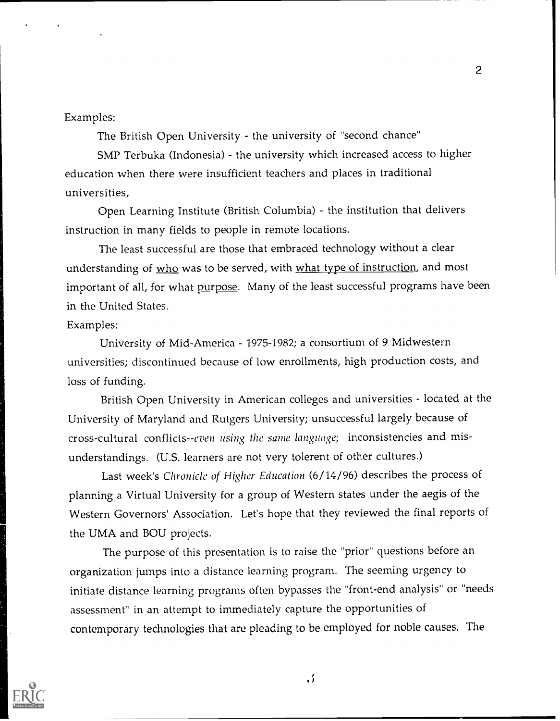### Examples:

The British Open University - the university of "second chance"

SMP Terbuka (Indonesia) - the university which increased access to higher education when there were insufficient teachers and places in traditional universities,

2

Open Learning Institute (British Columbia) - the institution that delivers instruction in many fields to people in remote locations.

The least successful are those that embraced technology without a clear understanding of who was to be served, with what type of instruction, and most important of all, for what purpose. Many of the least successful programs have been in the United States.

### Examples:

University of Mid-America - 1975-1982; a consortium of 9 Midwestern universities; discontinued because of low enrollments, high production costs, and loss of funding.

British Open University in American colleges and universities - located at the University of Maryland and Rutgers University; unsuccessful largely because of cross-cultural conflicts--even using the same language; inconsistencies and misunderstandings. (U.S. learners are not very tolerent of other cultures.)

Last week's Chronicle of Higher Education (6/14/96) describes the process of planning a Virtual University for a group of Western states under the aegis of the Western Governors' Association. Let's hope that they reviewed the final reports of the UMA and BOU projects.

The purpose of this presentation is to raise the "prior" questions before an organization jumps into a distance learning program. The seeming urgency to initiate distance learning programs often bypasses the "front-end analysis" or "needs assessment" in an attempt to immediately capture the opportunities of contemporary technologies that are pleading to be employed for noble causes. The

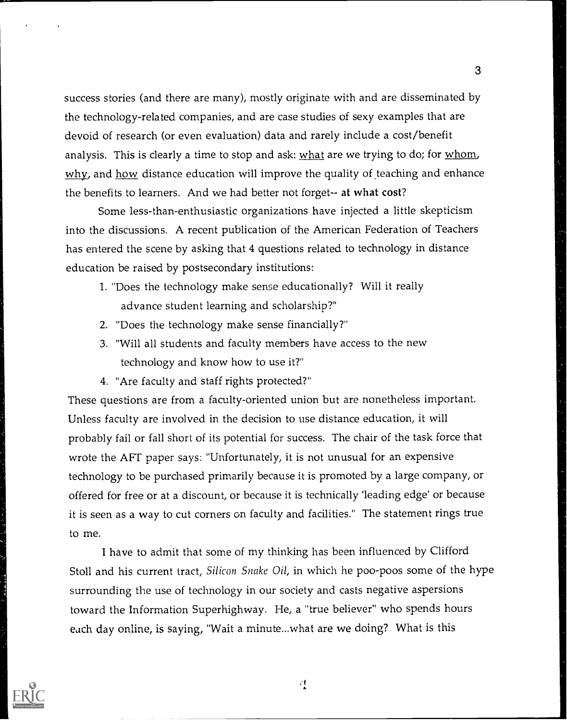success stories (and there are many), mostly originate with and are disseminated by the technology-related companies, and are case studies of sexy examples that are devoid of research (or even evaluation) data and rarely include a cost/benefit analysis. This is clearly a time to stop and ask: what are we trying to do; for whom, why, and how distance education will improve the quality of teaching and enhance the benefits to learners. And we had better not forget-- at what cost?

Some less-than-enthusiastic organizations have injected a little skepticism into the discussions. A recent publication of the American Federation of Teachers has entered the scene by asking that 4 questions related to technology in distance education be raised by postsecondary institutions:

- 1. "Does the technology make sense educationally? Will it really advance student learning and scholarship?"
- 2. "Does the technology make sense financially?"
- 3. "Will all students and faculty members have access to the new technology and know how to use it?"
- 4. "Are faculty and staff rights protected?"

These questions are from a faculty-oriented union but are nonetheless important. Unless faculty are involved in the decision to use distance education, it will probably fail or fall short of its potential for success. The chair of the task force that wrote the AFT paper says: "Unfortunately, it is not unusual for an expensive technology to be purchased primarily because it is promoted by a large company, or offered for free or at a discount, or because it is technically 'leading edge' or because it is seen as a way to cut corners on faculty and facilities." The statement rings true to me.

I have to admit that some of my thinking has been influenced by Clifford Stoll and his current tract, Silicon Snake Oil, in which he poo-poos some of the hype surrounding the use of technology in our society and casts negative aspersions toward the Information Superhighway. He, a "true believer" who spends hours each day online, is saying, "Wait a minute...what are we doing? What is this

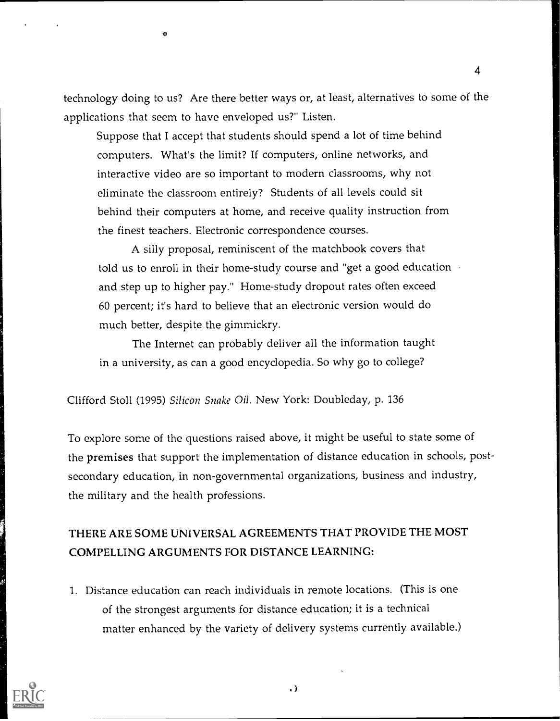technology doing to us? Are there better ways or, at least, alternatives to some of the applications that seem to have enveloped us?" Listen.

4

Suppose that I accept that students should spend a lot of time behind computers. What's the limit? If computers, online networks, and interactive video are so important to modern classrooms, why not eliminate the classroom entirely? Students of all levels could sit behind their computers at home, and receive quality instruction from the finest teachers. Electronic correspondence courses.

A silly proposal, reminiscent of the matchbook covers that told us to enroll in their home-study course and "get a good education and step up to higher pay." Home-study dropout rates often exceed 60 percent; it's hard to believe that an electronic version would do much better, despite the gimmickry.

The Internet can probably deliver all the information taught in a university, as can a good encyclopedia. So why go to college?

Clifford Stoll (1995) Silicon Snake Oil. New York: Doubleday, p. 136

To explore some of the questions raised above, it might be useful to state some of the premises that support the implementation of distance education in schools, postsecondary education, in non-governmental organizations, business and industry, the military and the health professions.

# THERE ARE SOME UNIVERSAL AGREEMENTS THAT PROVIDE THE MOST COMPELLING ARGUMENTS FOR DISTANCE LEARNING:

1. Distance education can reach individuals in remote locations. (This is one of the strongest arguments for distance education; it is a technical matter enhanced by the variety of delivery systems currently available.)

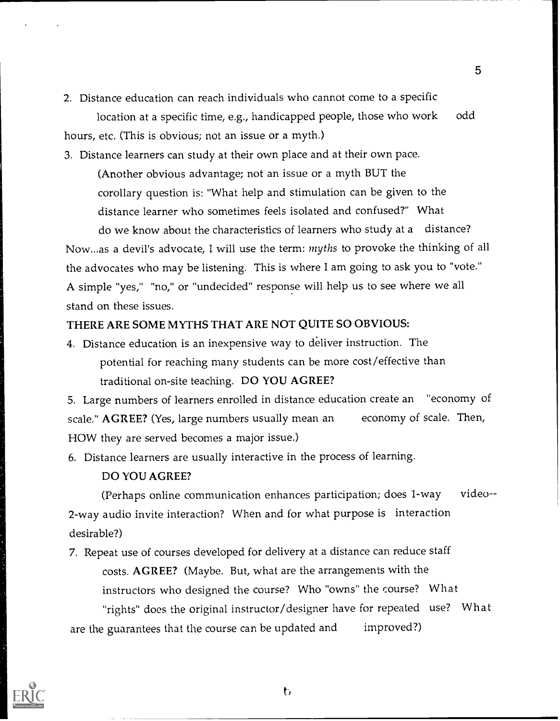2. Distance education can reach individuals who cannot come to a specific location at a specific time, e.g., handicapped people, those who work odd hours, etc. (This is obvious; not an issue or a myth.)

3. Distance learners can study at their own place and at their own pace.

(Another obvious advantage; not an issue or a myth BUT the corollary question is: "What help and stimulation can be given to the distance learner who sometimes feels isolated and confused?" What

do we know about the characteristics of learners who study at a distance? Now...as a devil's advocate, I will use the term: myths to provoke the thinking of all the advocates who may be listening. This is where I am going to ask you to "vote." A simple "yes," "no," or "undecided" response will help us to see where we all stand on these issues.

### THERE ARE SOME MYTHS THAT ARE NOT QUITE SO OBVIOUS:

4. Distance education is an inexpensive way to deliver instruction. The potential for reaching many students can be more cost/effective than traditional on-site teaching. DO YOU AGREE?

5. Large numbers of learners enrolled in distance education create an "economy of scale." AGREE? (Yes, large numbers usually mean an economy of scale. Then, HOW they are served becomes a major issue.)

6. Distance learners are usually interactive in the process of learning.

### DO YOU AGREE?

(Perhaps online communication enhances participation; does 1-way video-- 2-way audio invite interaction? When and for what purpose is interaction desirable?)

7. Repeat use of courses developed for delivery at a distance can reduce staff costs. AGREE? (Maybe. But, what are the arrangements with the instructors who designed the course? Who "owns" the course? What

"rights" does the original instructor/designer have for repeated use? What are the guarantees that the course can be updated and improved?)

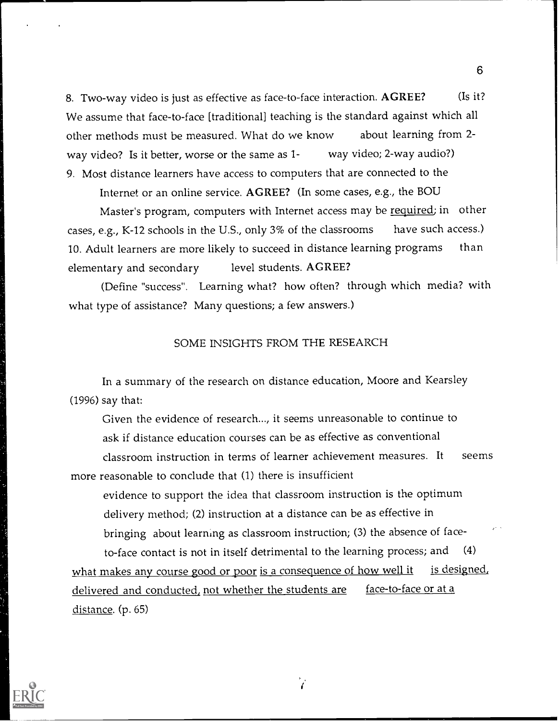8. Two-way video is just as effective as face-to-face interaction. AGREE? (Is it? We assume that face-to-face [traditional] teaching is the standard against which all other methods must be measured. What do we know about learning from 2 way video? Is it better, worse or the same as 1- way video; 2-way audio?) 9. Most distance learners have access to computers that are connected to the

Internet or an online service. AGREE? (In some cases, e.g., the BOU

Master's program, computers with Internet access may be required; in other cases, e.g., K-12 schools in the U.S., only 3% of the classrooms have such access.) 10. Adult learners are more likely to succeed in distance learning programs than elementary and secondary level students. AGREE?

(Define "success". Learning what? how often? through which media? with what type of assistance? Many questions; a few answers.)

### SOME INSIGHTS FROM THE RESEARCH

In a summary of the research on distance education, Moore and Kearsley (1996) say that:

Given the evidence of research..., it seems unreasonable to continue to ask if distance education courses can be as effective as conventional classroom instruction in terms of learner achievement measures. It seems more reasonable to conclude that (1) there is insufficient

evidence to support the idea that classroom instruction is the optimum delivery method; (2) instruction at a distance can be as effective in bringing about learning as classroom instruction; (3) the absence of face-

to-face contact is not in itself detrimental to the learning process; and (4) what makes any course good or poor is a consequence of how well it is designed, delivered and conducted, not whether the students are face-to-face or at a distance. (p. 65)

 $\mathbf{r}$ 

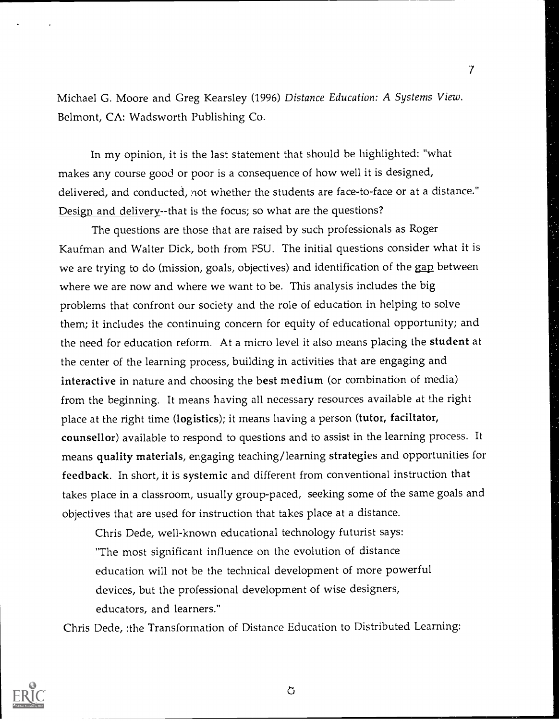Michael G. Moore and Greg Kearsley (1996) Distance Education: A Systems View. Belmont, CA: Wadsworth Publishing Co.

7

In my opinion, it is the last statement that should be highlighted: "what makes any course good or poor is a consequence of how well it is designed, delivered, and conducted, not whether the students are face-to-face or at a distance." Design and delivery--that is the focus; so what are the questions?

The questions are those that are raised by such professionals as Roger Kaufman and Walter Dick, both from FSU. The initial questions consider what it is we are trying to do (mission, goals, objectives) and identification of the gap between where we are now and where we want to be. This analysis includes the big problems that confront our society and the role of education in helping to solve them; it includes the continuing concern for equity of educational opportunity; and the need for education reform. At a micro level it also means placing the student at the center of the learning process, building in activities that are engaging and interactive in nature and choosing the best medium (or combination of media) from the beginning. It means having all necessary resources available at the right place at the right time (logistics); it means having a person (tutor, faciltator, counsellor) available to respond to questions and to assist in the learning process. It means quality materials, engaging teaching/learning strategies and opportunities for feedback. In short, it is systemic and different from conventional instruction that takes place in a classroom, usually group-paced, seeking some of the same goals and objectives that are used for instruction that takes place at a distance.

Chris Dede, well-known educational technology futurist says: "The most significant influence on the evolution of distance education will not be the technical development of more powerful devices, but the professional development of wise designers, educators, and learners."

Chris Dede, :the Transformation of Distance Education to Distributed Learning:



Ò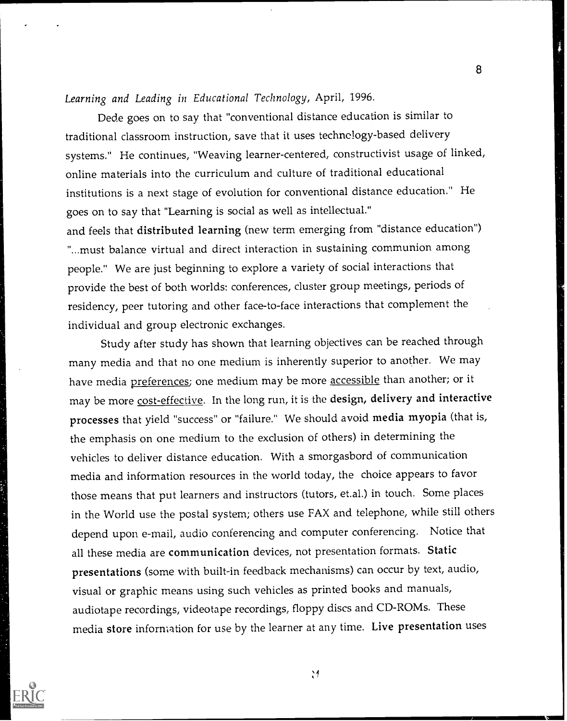## Learning and Leading in Educational Technology, April, 1996.

Dede goes on to say that "conventional distance education is similar to traditional classroom instruction, save that it uses technology-based delivery systems." He continues, "Weaving learner-centered, constructivist usage of linked, online materials into the curriculum and culture of traditional educational institutions is a next stage of evolution for conventional distance education." He goes on to say that "Learning is social as well as intellectual." and feels that distributed learning (new term emerging from "distance education")

8

"...must balance virtual and direct interaction in sustaining communion among people." We are just beginning to explore a variety of social interactions that provide the best of both worlds: conferences, cluster group meetings, periods of residency, peer tutoring and other face-to-face interactions that complement the individual and group electronic exchanges.

Study after study has shown that learning objectives can be reached through many media and that no one medium is inherently superior to another. We may have media preferences; one medium may be more accessible than another; or it may be more cost-effective. In the long run, it is the design, delivery and interactive processes that yield "success" or "failure." We should avoid media myopia (that is, the emphasis on one medium to the exclusion of others) in determining the vehicles to deliver distance education. With a smorgasbord of communication media and information resources in the world today, the choice appears to favor those means that put learners and instructors (tutors, et.al.) in touch. Some places in the World use the postal system; others use FAX and telephone, while still others depend upon e-mail, audio conferencing and computer conferencing. Notice that all these media are communication devices, not presentation formats. Static presentations (some with built-in feedback mechanisms) can occur by text, audio, visual or graphic means using such vehicles as printed books and manuals, audiotape recordings, videotape recordings, floppy discs and CD-ROMs. These media store information for use by the learner at any time. Live presentation uses



 $\ddot{ }$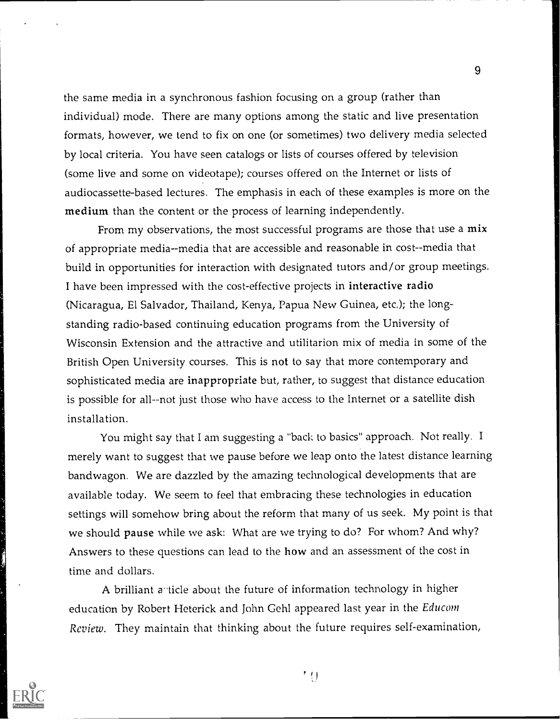the same media in a synchronous fashion focusing on a group (rather than individual) mode. There are many options among the static and live presentation formats, however, we tend to fix on one (or sometimes) two delivery media selected by local criteria. You have seen catalogs or lists of courses offered by television (some live and some on videotape); courses offered on the Internet or lists of audiocassette-based lectures. The emphasis in each of these examples is more on the medium than the content or the process of learning independently.

From my observations, the most successful programs are those that use a mix of appropriate media--media that are accessible and reasonable in cost--media that build in opportunities for interaction with designated tutors and/or group meetings. I have been impressed with the cost-effective projects in interactive radio (Nicaragua, El Salvador, Thailand, Kenya, Papua New Guinea, etc.); the longstanding radio-based continuing education programs from the University of Wisconsin Extension and the attractive and utilitarion mix of media in some of the British Open University courses. This is not to say that more contemporary and sophisticated media are inappropriate but, rather, to suggest that distance education is possible for all--not just those who have access to the Internet or a satellite dish installation.

You might say that I am suggesting a "back to basics" approach. Not really. I merely want to suggest that we pause before we leap onto the latest distance learning bandwagon. We are dazzled by the amazing technological developments that are available today. We seem to feel that embracing these technologies in education settings will somehow bring about the reform that many of us seek. My point is that we should pause while we ask: What are we trying to do? For whom? And why? Answers to these questions can lead to the how and an assessment of the cost in time and dollars.

A brilliant a ticle about the future of information technology in higher education by Robert Heterick and John Gehl appeared last year in the Educom Review. They maintain that thinking about the future requires self-examination,



古村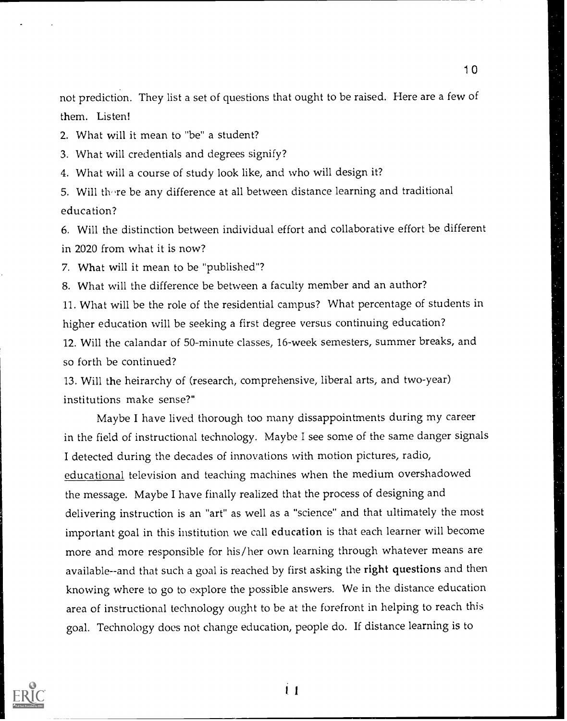not prediction. They list a set of questions that ought to be raised. Here are a few of them. Listen!

1 0

2. What will it mean to "be" a student?

3. What will credentials and degrees signify?

4. What will a course of study look like, and who will design it?

5. Will there be any difference at all between distance learning and traditional education?

6. Will the distinction between individual effort and collaborative effort be different in 2020 from what it is now?

7. What will it mean to be "published"?

8. What will the difference be between a faculty member and an author?

11. What will be the role of the residential campus? What percentage of students in higher education will be seeking a first degree versus continuing education?

12. Will the calandar of 50-minute classes, 16-week semesters, summer breaks, and so forth be continued?

13. Will the heirarchy of (research, comprehensive, liberal arts, and two-year) institutions make sense?"

Maybe I have lived thorough too many dissappointments during my career in the field of instructional technology. Maybe I see some of the same danger signals I detected during the decades of innovations with motion pictures, radio, educational television and teaching machines when the medium overshadowed the message. Maybe I have finally realized that the process of designing and delivering instruction is an "art" as well as a "science" and that ultimately the most important goal in this institution we call education is that each learner will become more and more responsible for his/her own learning through whatever means are available--and that such a goal is reached by first asking the right questions and then knowing where to go to explore the possible answers. We in the distance education area of instructional technology ought to be at the forefront in helping to reach this goal. Technology does not change education, people do. If distance learning is to



İ1